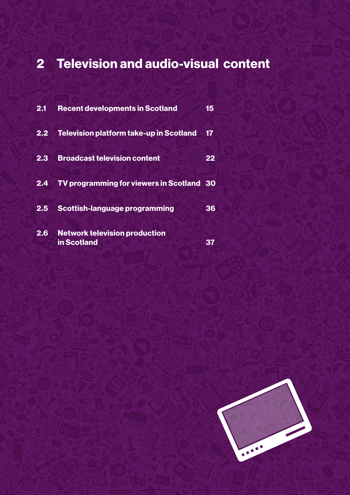# 2 Television and audio-visual content

| 2.1              | <b>Recent developments in Scotland</b>              | 15 |
|------------------|-----------------------------------------------------|----|
| $2.\overline{2}$ | <b>Television platform take-up in Scotland</b>      | 17 |
| $2.\overline{3}$ | <b>Broadcast television content</b>                 | 22 |
|                  | 2.4 TV programming for viewers in Scotland 30       |    |
| 2.5              | <b>Scottish-language programming</b>                | 36 |
| 2.6              | <b>Network television production</b><br>in Scotland |    |

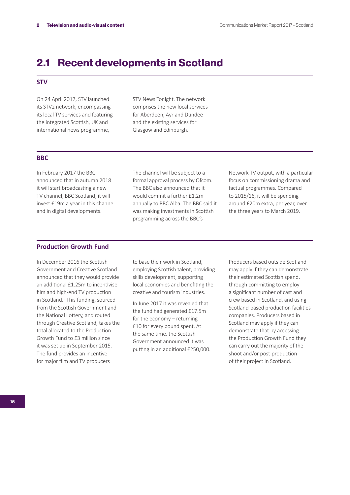## 2.1 Recent developments in Scotland

## **STV**

On 24 April 2017, STV launched its STV2 network, encompassing its local TV services and featuring the integrated Scottish, UK and international news programme,

STV News Tonight. The network comprises the new local services for Aberdeen, Ayr and Dundee and the existing services for Glasgow and Edinburgh.

## **BBC**

In February 2017 the BBC announced that in autumn 2018 it will start broadcasting a new TV channel, BBC Scotland; it will invest £19m a year in this channel and in digital developments.

The channel will be subject to a formal approval process by Ofcom. The BBC also announced that it would commit a further £1.2m annually to BBC Alba. The BBC said it was making investments in Scottish programming across the BBC's

Network TV output, with a particular focus on commissioning drama and factual programmes. Compared to 2015/16, it will be spending around £20m extra, per year, over the three years to March 2019.

## **Production Growth Fund**

In December 2016 the Scottish Government and Creative Scotland announced that they would provide an additional £1.25m to incentivise film and high-end TV production in Scotland.<sup>1</sup> This funding, sourced from the Scottish Government and the National Lottery, and routed through Creative Scotland, takes the total allocated to the Production Growth Fund to £3 million since it was set up in September 2015. The fund provides an incentive for major film and TV producers

to base their work in Scotland, employing Scottish talent, providing skills development, supporting local economies and benefiting the creative and tourism industries.

In June 2017 it was revealed that the fund had generated £17.5m for the economy – returning £10 for every pound spent. At the same time, the Scottish Government announced it was putting in an additional £250,000. Producers based outside Scotland may apply if they can demonstrate their estimated Scottish spend, through committing to employ a significant number of cast and crew based in Scotland, and using Scotland-based production facilities companies. Producers based in Scotland may apply if they can demonstrate that by accessing the Production Growth Fund they can carry out the majority of the shoot and/or post-production of their project in Scotland.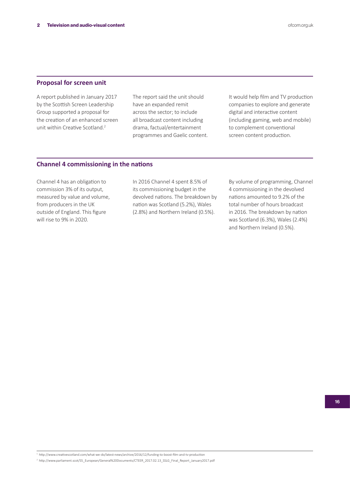## **Proposal for screen unit**

A report published in January 2017 by the Scottish Screen Leadership Group supported a proposal for the creation of an enhanced screen unit within Creative Scotland.2

The report said the unit should have an expanded remit across the sector; to include all broadcast content including drama, factual/entertainment programmes and Gaelic content. It would help film and TV production companies to explore and generate digital and interactive content (including gaming, web and mobile) to complement conventional screen content production.

## **Channel 4 commissioning in the nations**

Channel 4 has an obligation to commission 3% of its output, measured by value and volume, from producers in the UK outside of England. This figure will rise to 9% in 2020.

In 2016 Channel 4 spent 8.5% of its commissioning budget in the devolved nations. The breakdown by nation was Scotland (5.2%), Wales (2.8%) and Northern Ireland (0.5%).

By volume of programming, Channel 4 commissioning in the devolved nations amounted to 9.2% of the total number of hours broadcast in 2016. The breakdown by nation was Scotland (6.3%), Wales (2.4%) and Northern Ireland (0.5%).

```
1 http://www.creativescotland.com/what-we-do/latest-news/archive/2016/12/funding-to-boost-film-and-tv-production
```
2 http://www.parliament.scot/S5\_European/General%20Documents/CTEER\_2017.02.13\_SSLG\_Final\_Report\_January2017.pdf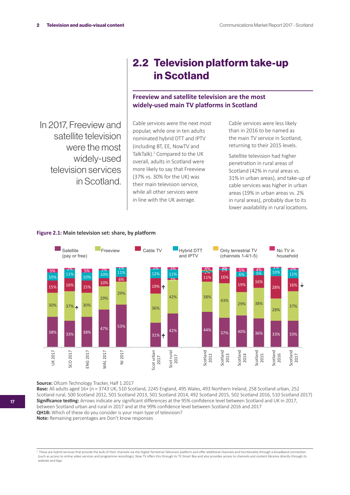In 2017, Freeview and satellite television were the most widely-used television services in Scotland.

## 2.2 Television platform take-up in Scotland

## **Freeview and satellite television are the most widely-used main TV platforms in Scotland**

Cable services were the next most popular, while one in ten adults nominated hybrid DTT and IPTV (including BT, EE, NowTV and TalkTalk).<sup>1</sup> Compared to the UK overall, adults in Scotland were more likely to say that Freeview (37% vs. 30% for the UK) was their main television service, while all other services were in line with the UK average.

Cable services were less likely than in 2016 to be named as the main TV service in Scotland, returning to their 2015 levels.

Satellite television had higher penetration in rural areas of Scotland (42% in rural areas vs. 31% in urban areas), and take-up of cable services was higher in urban areas (19% in urban areas vs. 2% in rural areas), probably due to its lower availability in rural locations.



#### **Figure 2.1: Main television set: share, by platform**

**Source:** Ofcom Technology Tracker, Half 1 2017

**Base:** All adults aged 16+ (n = 3743 UK, 510 Scotland, 2245 England, 495 Wales, 493 Northern Ireland, 258 Scotland urban, 252 Scotland rural, 500 Scotland 2012, 501 Scotland 2013, 501 Scotland 2014, 492 Scotland 2015, 502 Scotland 2016, 510 Scotland 2017) **Significance testing:** Arrows indicate any significant differences at the 95% confidence level between Scotland and UK in 2017, between Scotland urban and rural in 2017 and at the 99% confidence level between Scotland 2016 and 2017 **QH1B:** Which of these do you consider is your main type of television? **Note:** Remaining percentages are Don't know responses

<sup>&</sup>lt;sup>1</sup> These are hybrid services that provide the bulk of their channels via the Digital Terrestrial Television platform and offer additional channels and functionality through a broadband connection (such as access to online video services and programme recordings). Now TV offers this through its TV Smart Box and also provides access to channels and content libraries directly through its website and App.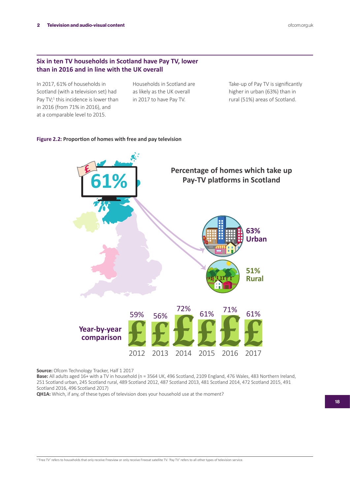## **Six in ten TV households in Scotland have Pay TV, lower than in 2016 and in line with the UK overall**

In 2017, 61% of households in Scotland (with a television set) had Pay TV;<sup>1</sup> this incidence is lower than in 2016 (from 71% in 2016), and at a comparable level to 2015.

Households in Scotland are as likely as the UK overall in 2017 to have Pay TV.

Take-up of Pay TV is significantly higher in urban (63%) than in rural (51%) areas of Scotland.

### **Figure 2.2: Proportion of homes with free and pay television**



**Source:** Ofcom Technology Tracker, Half 1 2017

**Base:** All adults aged 16+ with a TV in household (n = 3564 UK, 496 Scotland, 2109 England, 476 Wales, 483 Northern Ireland, 251 Scotland urban, 245 Scotland rural, 489 Scotland 2012, 487 Scotland 2013, 481 Scotland 2014, 472 Scotland 2015, 491 Scotland 2016, 496 Scotland 2017)

**QH1A:** Which, if any, of these types of television does your household use at the moment?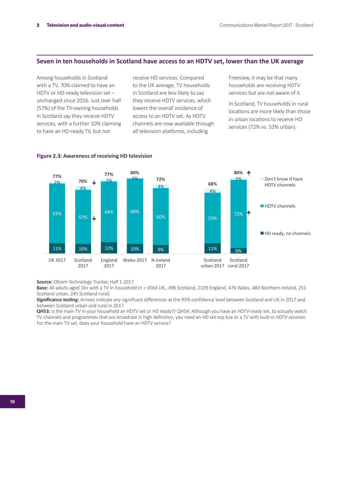## **Seven in ten households in Scotland have access to an HDTV set, lower than the UK average**

Among households in Scotland with a TV, 70% claimed to have an HDTV or HD-ready television set – unchanged since 2016. Just over half (57%) of the TV-owning households in Scotland say they receive HDTV services, with a further 10% claiming to have an HD-ready TV, but not

receive HD services. Compared to the UK average, TV households in Scotland are less likely to say they receive HDTV services, which lowers the overall incidence of access to an HDTV set. As HDTV channels are now available through all television platforms, including

Freeview, it may be that many households are receiving HDTV services but are not aware of it.

In Scotland, TV households in rural locations are more likely than those in urban locations to receive HD services (72% vs. 53% urban).



#### **Figure 2.3: Awareness of receiving HD television**

**Source:** Ofcom Technology Tracker, Half 1 2017

**Base:** All adults aged 16+ with a TV in household (n = 3564 UK,, 496 Scotland, 2109 England, 476 Wales, 483 Northern Ireland, 251 Scotland urban, 245 Scotland rural)

**Significance testing:** Arrows indicate any significant differences at the 95% confidence level between Scotland and UK in 2017 and between Scotland urban and rural in 2017

**QH53:** Is the main TV in your household an HDTV set or HD ready?/ QH54: Although you have an HDTV-ready set, to actually watch TV channels and programmes that are broadcast in high definition, you need an HD set-top box or a TV with built-in HDTV receiver. For the main TV set, does your household have an HDTV service?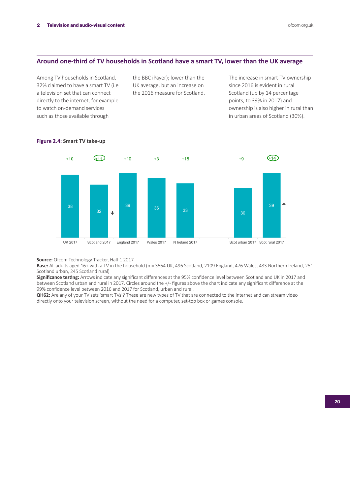### **Around one-third of TV households in Scotland have a smart TV, lower than the UK average**

Among TV households in Scotland, 32% claimed to have a smart TV (i.e a television set that can connect directly to the internet, for example to watch on-demand services such as those available through

the BBC iPayer); lower than the UK average, but an increase on the 2016 measure for Scotland. The increase in smart-TV ownership since 2016 is evident in rural Scotland (up by 14 percentage points, to 39% in 2017) and ownership is also higher in rural than in urban areas of Scotland (30%).



#### **Figure 2.4: Smart TV take-up**

**Source:** Ofcom Technology Tracker, Half 1 2017

Base: All adults aged 16+ with a TV in the household (n = 3564 UK, 496 Scotland, 2109 England, 476 Wales, 483 Northern Ireland, 251 Scotland urban, 245 Scotland rural)

**Significance testing:** Arrows indicate any significant differences at the 95% confidence level between Scotland and UK in 2017 and between Scotland urban and rural in 2017. Circles around the +/- figures above the chart indicate any significant difference at the 99% confidence level between 2016 and 2017 for Scotland, urban and rural.

**QH62:** Are any of your TV sets 'smart TVs'? These are new types of TV that are connected to the internet and can stream video directly onto your television screen, without the need for a computer, set-top box or games console.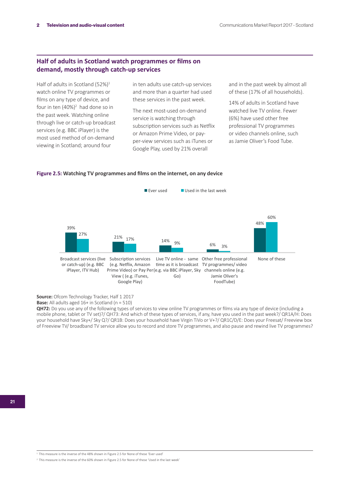## **Half of adults in Scotland watch programmes or films on demand, mostly through catch-up services**

Half of adults in Scotland (52%) $1$ watch online TV programmes or films on any type of device, and four in ten (40%)<sup>2</sup> had done so in the past week. Watching online through live or catch-up broadcast services (e.g. BBC iPlayer) is the most used method of on-demand viewing in Scotland; around four

in ten adults use catch-up services and more than a quarter had used these services in the past week.

The next most-used on-demand service is watching through subscription services such as Netflix or Amazon Prime Video, or payper-view services such as iTunes or Google Play, used by 21% overall

and in the past week by almost all of these (17% of all households).

14% of adults in Scotland have watched live TV online. Fewer (6%) have used other free professional TV programmes or video channels online, such as Jamie Oliver's Food Tube.

#### **Figure 2.5: Watching TV programmes and films on the internet, on any device**



**Source:** Ofcom Technology Tracker, Half 1 2017

**Base:** All adults aged 16+ in Scotland (n = 510)

**QH72:** Do you use any of the following types of services to view online TV programmes or films via any type of device (including a mobile phone, tablet or TV set)?/ QH73: And which of these types of services, if any, have you used in the past week?/ QR1A/H: Does your household have Sky+/ Sky Q?/ QR1B: Does your household have Virgin TiVo or V+?/ QR1C/D/E: Does your Freesat/ Freeview box of Freeview TV/ broadband TV service allow you to record and store TV programmes, and also pause and rewind live TV programmes?

<sup>2</sup> This measure is the inverse of the 60% shown in Figure 2.5 for None of these 'Used in the last week'

<sup>1</sup> This measure is the inverse of the 48% shown in Figure 2.5 for None of these 'Ever used'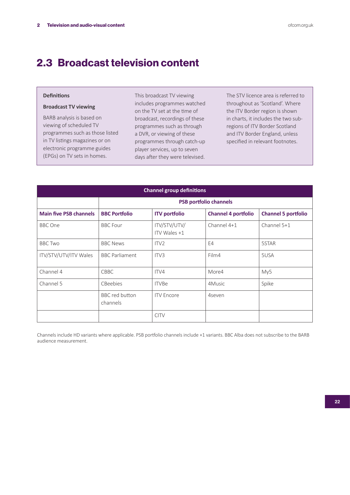## 2.3 Broadcast television content

### **Definitions**

## **Broadcast TV viewing**

BARB analysis is based on viewing of scheduled TV programmes such as those listed in TV listings magazines or on electronic programme guides (EPGs) on TV sets in homes.

This broadcast TV viewing includes programmes watched on the TV set at the time of broadcast, recordings of these programmes such as through a DVR, or viewing of these programmes through catch-up player services, up to seven days after they were televised.

The STV licence area is referred to throughout as 'Scotland'. Where the ITV Border region is shown in charts, it includes the two subregions of ITV Border Scotland and ITV Border England, unless specified in relevant footnotes.

| <b>Channel group definitions</b> |                               |                              |                            |                            |  |  |  |  |  |
|----------------------------------|-------------------------------|------------------------------|----------------------------|----------------------------|--|--|--|--|--|
|                                  | <b>PSB portfolio channels</b> |                              |                            |                            |  |  |  |  |  |
| <b>Main five PSB channels</b>    | <b>BBC Portfolio</b>          | <b>ITV</b> portfolio         | <b>Channel 4 portfolio</b> | <b>Channel 5 portfolio</b> |  |  |  |  |  |
| <b>BBC</b> One                   | <b>BBC</b> Four               | ITV/STV/UTV/<br>ITV Wales +1 | Channel 4+1                | Channel 5+1                |  |  |  |  |  |
| <b>BBC Two</b>                   | <b>BBC News</b>               | ITV <sub>2</sub>             | E4                         | 5STAR                      |  |  |  |  |  |
| ITV/STV/UTV/ITV Wales            | <b>BBC Parliament</b>         | ITV <sub>3</sub>             | Film4                      | 5USA                       |  |  |  |  |  |
| Channel 4                        | <b>CBBC</b>                   | ITV4                         | More4                      | My5                        |  |  |  |  |  |
| Channel 5                        | CBeebies                      | <b>ITVBe</b>                 | 4Music                     | Spike                      |  |  |  |  |  |
|                                  | BBC red button<br>channels    | <b>ITV</b> Encore            | 4seven                     |                            |  |  |  |  |  |
|                                  |                               | <b>CITV</b>                  |                            |                            |  |  |  |  |  |

Channels include HD variants where applicable. PSB portfolio channels include +1 variants. BBC Alba does not subscribe to the BARB audience measurement.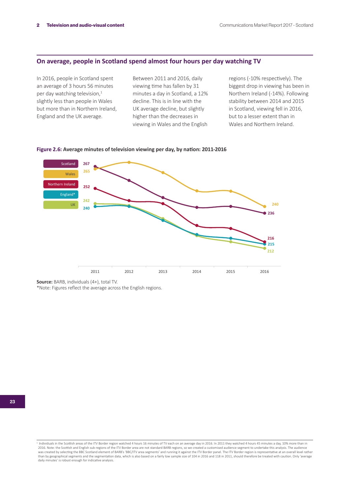## **On average, people in Scotland spend almost four hours per day watching TV**

In 2016, people in Scotland spent an average of 3 hours 56 minutes per day watching television,<sup>1</sup> slightly less than people in Wales but more than in Northern Ireland, England and the UK average.

Between 2011 and 2016, daily viewing time has fallen by 31 minutes a day in Scotland, a 12% decline. This is in line with the UK average decline, but slightly higher than the decreases in viewing in Wales and the English regions (-10% respectively). The biggest drop in viewing has been in Northern Ireland (-14%). Following stability between 2014 and 2015 in Scotland, viewing fell in 2016, but to a lesser extent than in Wales and Northern Ireland.



**Figure 2.6: Average minutes of television viewing per day, by nation: 2011-2016**

**Source:** BARB, individuals (4+), total TV.

\*Note: Figures reflect the average across the English regions.

<sup>&</sup>lt;sup>1</sup> Individuals in the Scottish areas of the ITV Border region watched 4 hours 16 minutes of TV each on an average day in 2016. In 2011 they watched 4 hours 45 minutes a day, 10% more than in 2016. Note: the Scottish and English sub-regions of the ITV Border area are not standard BARB regions, so we created a customised audience segment to undertake this analysis. The audience<br>was created by selecting the BBC S than by geographical segments and the segmentation data, which is also based on a fairly low sample size of 104 in 2016 and 118 in 2011, should therefore be treated with caution. Only 'average<br>daily minutes' is robust enou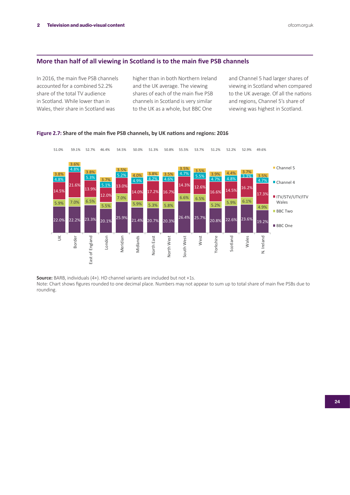## **More than half of all viewing in Scotland is to the main five PSB channels**

In 2016, the main five PSB channels accounted for a combined 52.2% share of the total TV audience in Scotland. While lower than in Wales, their share in Scotland was

higher than in both Northern Ireland and the UK average. The viewing shares of each of the main five PSB channels in Scotland is very similar to the UK as a whole, but BBC One

and Channel 5 had larger shares of viewing in Scotland when compared to the UK average. Of all the nations and regions, Channel 5's share of viewing was highest in Scotland.





**Source:** BARB, individuals (4+). HD channel variants are included but not +1s.

Note: Chart shows figures rounded to one decimal place. Numbers may not appear to sum up to total share of main five PSBs due to rounding.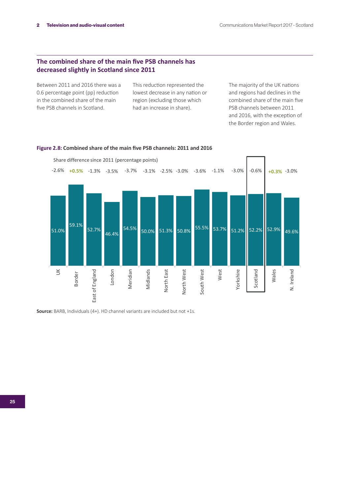## **The combined share of the main five PSB channels has decreased slightly in Scotland since 2011**

Between 2011 and 2016 there was a 0.6 percentage point (pp) reduction in the combined share of the main five PSB channels in Scotland.

This reduction represented the lowest decrease in any nation or region (excluding those which had an increase in share).

The majority of the UK nations and regions had declines in the combined share of the main five PSB channels between 2011 and 2016, with the exception of the Border region and Wales.



**Figure 2.8: Combined share of the main five PSB channels: 2011 and 2016**

**Source:** BARB, Individuals (4+). HD channel variants are included but not +1s.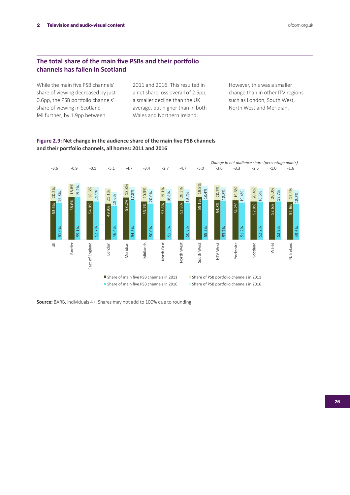## **The total share of the main five PSBs and their portfolio channels has fallen in Scotland**

While the main five PSB channels' share of viewing decreased by just 0.6pp, the PSB portfolio channels' share of viewing in Scotland fell further; by 1.9pp between

2011 and 2016. This resulted in a net share loss overall of 2.5pp, a smaller decline than the UK average, but higher than in both Wales and Northern Ireland.

However, this was a smaller change than in other ITV regions such as London, South West, North West and Meridian.



**Figure 2.9: Net change in the audience share of the main five PSB channels and their portfolio channels, all homes: 2011 and 2016**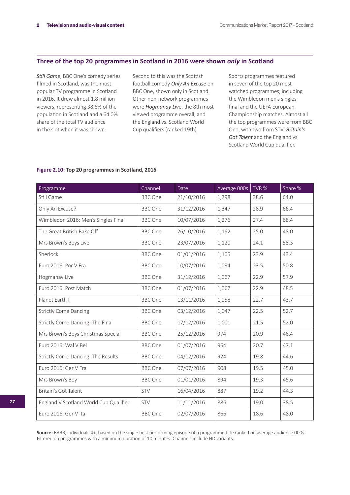## **Three of the top 20 programmes in Scotland in 2016 were shown** *only* **in Scotland**

*Still Game*, BBC One's comedy series filmed in Scotland, was the most popular TV programme in Scotland in 2016. It drew almost 1.8 million viewers, representing 38.6% of the population in Scotland and a 64.0% share of the total TV audience in the slot when it was shown.

Second to this was the Scottish football comedy *Only An Excuse* on BBC One, shown only in Scotland. Other non-network programmes were *Hogmanay Liv*e, the 8th most viewed programme overall, and the England vs. Scotland World Cup qualifiers (ranked 19th).

Sports programmes featured in seven of the top 20 mostwatched programmes, including the Wimbledon men's singles final and the UEFA European Championship matches. Almost all the top programmes were from BBC One, with two from STV: *Britain's Got Talent* and the England vs. Scotland World Cup qualifier.

#### **Figure 2.10: Top 20 programmes in Scotland, 2016**

| Programme                              | Channel        | Date       | Average 000s | TVR % | Share % |
|----------------------------------------|----------------|------------|--------------|-------|---------|
| Still Game                             | <b>BBC</b> One | 21/10/2016 | 1,798        | 38.6  | 64.0    |
| Only An Excuse?                        | <b>BBC</b> One | 31/12/2016 | 1,347        | 28.9  | 66.4    |
| Wimbledon 2016: Men's Singles Final    | <b>BBC</b> One | 10/07/2016 | 1,276        | 27.4  | 68.4    |
| The Great British Bake Off             | <b>BBC</b> One | 26/10/2016 | 1,162        | 25.0  | 48.0    |
| Mrs Brown's Boys Live                  | <b>BBC</b> One | 23/07/2016 | 1,120        | 24.1  | 58.3    |
| Sherlock                               | <b>BBC</b> One | 01/01/2016 | 1,105        | 23.9  | 43.4    |
| Euro 2016: Por V Fra                   | <b>BBC</b> One | 10/07/2016 | 1,094        | 23.5  | 50.8    |
| Hogmanay Live                          | <b>BBC</b> One | 31/12/2016 | 1,067        | 22.9  | 57.9    |
| Euro 2016: Post Match                  | <b>BBC</b> One | 01/07/2016 | 1,067        | 22.9  | 48.5    |
| Planet Earth II                        | <b>BBC</b> One | 13/11/2016 | 1,058        | 22.7  | 43.7    |
| <b>Strictly Come Dancing</b>           | <b>BBC</b> One | 03/12/2016 | 1,047        | 22.5  | 52.7    |
| Strictly Come Dancing: The Final       | <b>BBC</b> One | 17/12/2016 | 1,001        | 21.5  | 52.0    |
| Mrs Brown's Boys Christmas Special     | <b>BBC</b> One | 25/12/2016 | 974          | 20.9  | 46.4    |
| Euro 2016: Wal V Bel                   | <b>BBC</b> One | 01/07/2016 | 964          | 20.7  | 47.1    |
| Strictly Come Dancing: The Results     | <b>BBC</b> One | 04/12/2016 | 924          | 19.8  | 44.6    |
| Euro 2016: Ger V Fra                   | <b>BBC</b> One | 07/07/2016 | 908          | 19.5  | 45.0    |
| Mrs Brown's Boy                        | <b>BBC</b> One | 01/01/2016 | 894          | 19.3  | 45.6    |
| Britain's Got Talent                   | <b>STV</b>     | 16/04/2016 | 887          | 19.2  | 44.3    |
| England V Scotland World Cup Qualifier | <b>STV</b>     | 11/11/2016 | 886          | 19.0  | 38.5    |
| Euro 2016: Ger V Ita                   | <b>BBC</b> One | 02/07/2016 | 866          | 18.6  | 48.0    |

**Source:** BARB, individuals 4+, based on the single best performing episode of a programme title ranked on average audience 000s. Filtered on programmes with a minimum duration of 10 minutes. Channels include HD variants.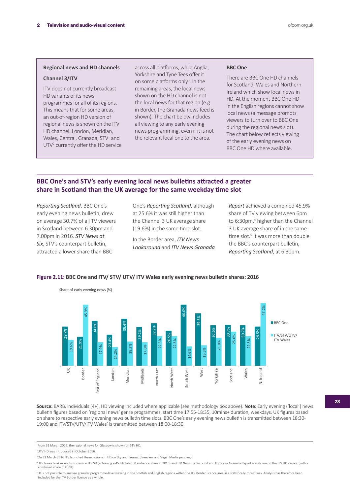#### **Regional news and HD channels**

#### **Channel 3/ITV**

ITV does not currently broadcast HD variants of its news programmes for all of its regions. This means that for some areas, an out-of-region HD version of regional news is shown on the ITV HD channel. London, Meridian, Wales, Central, Granada, STV<sup>1</sup> and UTV<sup>2</sup> currently offer the HD service across all platforms, while Anglia, Yorkshire and Tyne Tees offer it on some platforms only<sup>3</sup>. In the remaining areas, the local news shown on the HD channel is not the local news for that region (e.g in Border, the Granada news feed is shown). The chart below includes all viewing to any early evening news programming, even if it is not the relevant local one to the area.

#### **BBC One**

There are BBC One HD channels for Scotland, Wales and Northern Ireland which show local news in HD. At the moment BBC One HD in the English regions cannot show local news (a message prompts viewers to turn over to BBC One during the regional news slot). The chart below reflects viewing of the early evening news on BBC One HD where available.

## **BBC One's and STV's early evening local news bulletins attracted a greater share in Scotland than the UK average for the same weekday time slot**

*Reporting Scotland*, BBC One's early evening news bulletin, drew on average 30.7% of all TV viewers in Scotland between 6.30pm and 7.00pm in 2016. *STV News at Six*, STV's counterpart bulletin, attracted a lower share than BBC

One's *Reporting Scotland*, although at 25.6% it was still higher than the Channel 3 UK average share (19.6%) in the same time slot.

In the Border area, *ITV News Lookaround* and *ITV News Granada*  *Report* achieved a combined 45.9% share of TV viewing between 6pm to 6:30pm,<sup>4</sup> higher than the Channel 3 UK average share of in the same time slot.<sup>5</sup> It was more than double the BBC's counterpart bulletin, *Reporting Scotland*, at 6.30pm.



#### **Figure 2.11: BBC One and ITV/ STV/ UTV/ ITV Wales early evening news bulletin shares: 2016**

**Source:** BARB, individuals (4+). HD viewing included where applicable (see methodology box above). **Note:** Early evening ('local') news bulletin figures based on 'regional news' genre programmes, start time 17:55-18:35, 10mins+ duration, weekdays. UK figures based on share to respective early evening news bulletin time slots. BBC One's early evening news bulletin is transmitted between 18:30- 19:00 and ITV/STV/UTV/ITV Wales' is transmitted between 18:00-18:30.

<sup>4</sup> ITV News Lookaround is shown on ITV SD (achieving a 45.6% total TV audience share in 2016) and ITV News Lookaround and ITV News Granada Report are shown on the ITV HD variant (with a combined share of 0.2%).

<sup>5</sup> It is not possible to analyse granular programme-level viewing in the Scottish and English regions within the ITV Border licence area in a statistically robust way. Analysis has therefore been<br>included for the ITV Bord

<sup>1</sup> From 31 March 2016, the regional news for Glasgow is shown on STV HD.

<sup>2</sup> UTV HD was introduced in October 2016.

<sup>3</sup> On 31 March 2016 ITV launched these regions in HD on Sky and Freesat (Freeview and Virgin Media pending).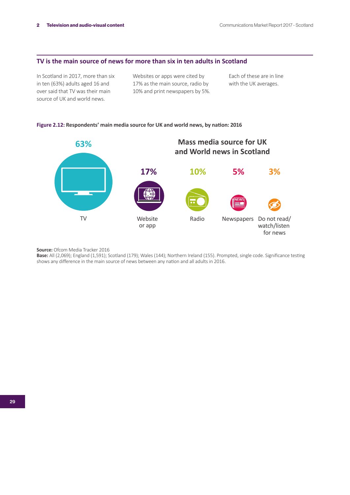## **TV is the main source of news for more than six in ten adults in Scotland**

In Scotland in 2017, more than six in ten (63%) adults aged 16 and over said that TV was their main source of UK and world news.

Websites or apps were cited by 17% as the main source, radio by 10% and print newspapers by 5%. Each of these are in line with the UK averages.

#### **Figure 2.12: Respondents' main media source for UK and world news, by nation: 2016**



**Source:** Ofcom Media Tracker 2016

**Base:** All (2,069); England (1,591); Scotland (179); Wales (144); Northern Ireland (155). Prompted, single code. Significance testing shows any difference in the main source of news between any nation and all adults in 2016.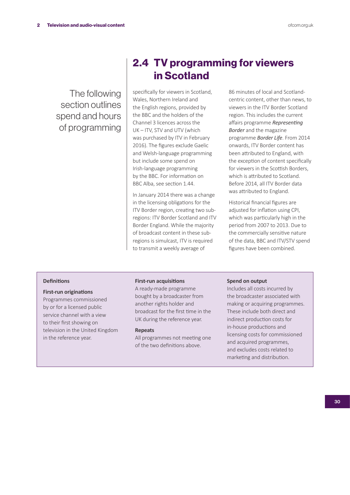The following section outlines spend and hours of programming

## 2.4 TV programming for viewers in Scotland

specifically for viewers in Scotland, Wales, Northern Ireland and the English regions, provided by the BBC and the holders of the Channel 3 licences across the UK – ITV, STV and UTV (which was purchased by ITV in February 2016). The figures exclude Gaelic and Welsh-language programming but include some spend on Irish-language programming by the BBC. For information on BBC Alba, see section 1.44.

In January 2014 there was a change in the licensing obligations for the ITV Border region, creating two subregions: ITV Border Scotland and ITV Border England. While the majority of broadcast content in these subregions is simulcast, ITV is required to transmit a weekly average of

86 minutes of local and Scotlandcentric content, other than news, to viewers in the ITV Border Scotland region. This includes the current affairs programme *Representing Border* and the magazine programme *Border Life*. From 2014 onwards, ITV Border content has been attributed to England, with the exception of content specifically for viewers in the Scottish Borders, which is attributed to Scotland. Before 2014, all ITV Border data was attributed to England.

Historical financial figures are adjusted for inflation using CPI, which was particularly high in the period from 2007 to 2013. Due to the commercially sensitive nature of the data, BBC and ITV/STV spend figures have been combined.

#### **Definitions**

#### **First-run originations**

Programmes commissioned by or for a licensed public service channel with a view to their first showing on television in the United Kingdom in the reference year.

#### **First-run acquisitions**

A ready-made programme bought by a broadcaster from another rights holder and broadcast for the first time in the UK during the reference year.

#### **Repeats**

All programmes not meeting one of the two definitions above.

#### **Spend on output**

Includes all costs incurred by the broadcaster associated with making or acquiring programmes. These include both direct and indirect production costs for in-house productions and licensing costs for commissioned and acquired programmes, and excludes costs related to marketing and distribution.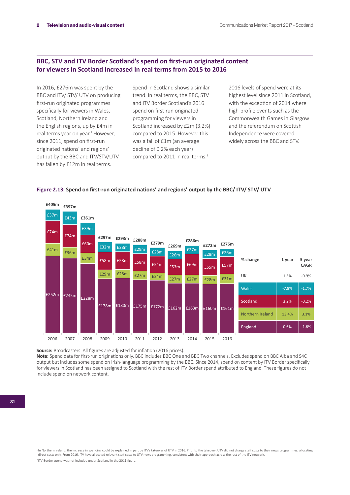## **BBC, STV and ITV Border Scotland's spend on first-run originated content for viewers in Scotland increased in real terms from 2015 to 2016**

In 2016, £276m was spent by the BBC and ITV/ STV/ UTV on producing first-run originated programmes specifically for viewers in Wales, Scotland, Northern Ireland and the English regions, up by £4m in real terms year on year.<sup>1</sup> However, since 2011, spend on first-run originated nations' and regions' output by the BBC and ITV/STV/UTV has fallen by £12m in real terms.

Spend in Scotland shows a similar trend. In real terms, the BBC, STV and ITV Border Scotland's 2016 spend on first-run originated programming for viewers in Scotland increased by £2m (3.2%) compared to 2015. However this was a fall of £1m (an average decline of 0.2% each year) compared to 2011 in real terms.<sup>2</sup>

2016 levels of spend were at its highest level since 2011 in Scotland, with the exception of 2014 where high-profile events such as the Commonwealth Games in Glasgow and the referendum on Scottish Independence were covered widely across the BBC and STV.



#### **Figure 2.13: Spend on first-run originated nations' and regions' output by the BBC/ ITV/ STV/ UTV**

**Source:** Broadcasters. All figures are adjusted for inflation (2016 prices). **Note:** Spend data for first-run originations only. BBC includes BBC One and BBC Two channels. Excludes spend on BBC Alba and S4C output but includes some spend on Irish-language programming by the BBC. Since 2014, spend on content by ITV Border specifically for viewers in Scotland has been assigned to Scotland with the rest of ITV Border spend attributed to England. These figures do not include spend on network content.

In Northern Ireland, the increase in spending could be explained in part by ITV's takeover of UTV in 2016. Prior to the takeover, UTV did not charge staff costs to their news programmes, allocating direct costs only. From 2016, ITV have allocated relevant staff costs to UTV news programming, consistent with their approach across the rest of the ITV network <sup>2</sup> ITV Border spend was not included under Scotland in the 2011 figure.

<sup>31</sup>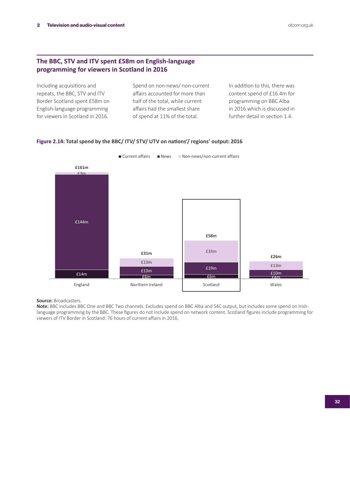## **The BBC, STV and ITV spent £58m on English-language programming for viewers in Scotland in 2016**

Including acquisitions and repeats, the BBC, STV and ITV Border Scotland spent £58m on English-language programming for viewers in Scotland in 2016.

Spend on non-news/ non-current affairs accounted for more than half of the total, while current affairs had the smallest share of spend at 11% of the total.

In addition to this, there was content spend of £16.4m for programming on BBC Alba in 2016 which is discussed in further detail in section 1.4.



#### **Figure 2.14: Total spend by the BBC/ ITV/ STV/ UTV on nations'/ regions' output: 2016**

**Source:** Broadcasters.

**Note:** BBC includes BBC One and BBC Two channels. Excludes spend on BBC Alba and S4C output, but includes some spend on Irishlanguage programming by the BBC. These figures do not include spend on network content. Scotland figures include programming for viewers of ITV Border in Scotland: 76 hours of current affairs in 2016.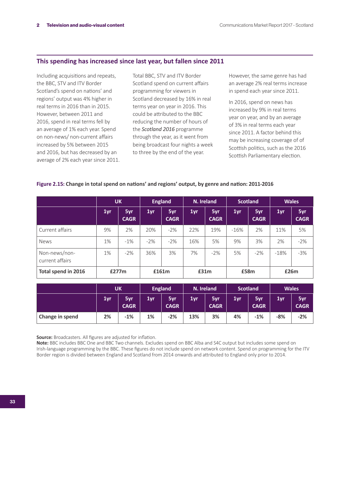### **This spending has increased since last year, but fallen since 2011**

Including acquisitions and repeats, the BBC, STV and ITV Border Scotland's spend on nations' and regions' output was 4% higher in real terms in 2016 than in 2015. However, between 2011 and 2016, spend in real terms fell by an average of 1% each year. Spend on non-news/ non-current affairs increased by 5% between 2015 and 2016, but has decreased by an average of 2% each year since 2011.

Total BBC, STV and ITV Border Scotland spend on current affairs programming for viewers in Scotland decreased by 16% in real terms year on year in 2016. This could be attributed to the BBC reducing the number of hours of the *Scotland 2016* programme through the year, as it went from being broadcast four nights a week to three by the end of the year.

However, the same genre has had an average 2% real terms increase in spend each year since 2011.

In 2016, spend on news has increased by 9% in real terms year on year, and by an average of 3% in real terms each year since 2011. A factor behind this may be increasing coverage of of Scottish politics, such as the 2016 Scottish Parliamentary election.

|                                  | <b>UK</b> |                    | <b>England</b> |                    | N. Ireland |                    | <b>Scotland</b> |                    | <b>Wales</b> |                    |
|----------------------------------|-----------|--------------------|----------------|--------------------|------------|--------------------|-----------------|--------------------|--------------|--------------------|
|                                  | 1yr       | 5yr<br><b>CAGR</b> | 1yr            | 5yr<br><b>CAGR</b> | 1yr        | 5yr<br><b>CAGR</b> | 1yr             | 5yr<br><b>CAGR</b> | 1yr          | 5yr<br><b>CAGR</b> |
| Current affairs                  | 9%        | 2%                 | 20%            | $-2\%$             | 22%        | 19%                | $-16%$          | 2%                 | 11%          | 5%                 |
| <b>News</b>                      | 1%        | $-1\%$             | $-2%$          | $-2\%$             | 16%        | 5%                 | 9%              | 3%                 | 2%           | $-2%$              |
| Non-news/non-<br>current affairs | 1%        | $-2%$              | 36%            | 3%                 | 7%         | $-2\%$             | 5%              | $-2%$              | $-18%$       | $-3%$              |
| Total spend in 2016              |           | £277m              |                | £161m              |            | £31m               |                 | £58m               |              | £26m               |

#### **Figure 2.15: Change in total spend on nations' and regions' output, by genre and nation: 2011-2016**

|                 | <b>UK</b> |                    | <b>England</b> |                    | N. Ireland |                    | <b>Scotland</b> |                    | <b>Wales</b> |                    |
|-----------------|-----------|--------------------|----------------|--------------------|------------|--------------------|-----------------|--------------------|--------------|--------------------|
|                 | 1yr       | 5yr<br><b>CAGR</b> | 1yr            | 5yr<br><b>CAGR</b> | 1yr        | 5yr<br><b>CAGR</b> | 1yr             | 5yr<br><b>CAGR</b> | 1yr          | 5yr<br><b>CAGR</b> |
| Change in spend | 2%        | $-1%$              | 1%             | $-2%$              | 13%        | 3%                 | 4%              | $-1%$              | $-8%$        | $-2%$              |

**Source:** Broadcasters. All figures are adjusted for inflation.

**Note:** BBC includes BBC One and BBC Two channels. Excludes spend on BBC Alba and S4C output but includes some spend on Irish-language programming by the BBC. These figures do not include spend on network content. Spend on programming for the ITV Border region is divided between England and Scotland from 2014 onwards and attributed to England only prior to 2014.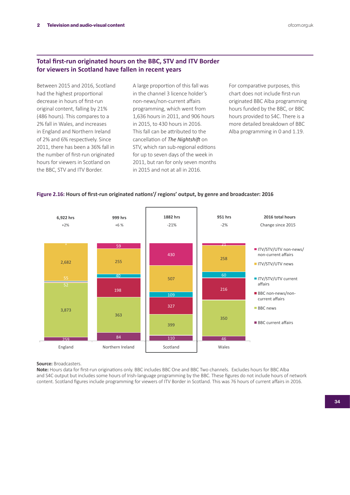## **Total first-run originated hours on the BBC, STV and ITV Border for viewers in Scotland have fallen in recent years**

Between 2015 and 2016, Scotland had the highest proportional decrease in hours of first-run original content, falling by 21% (486 hours). This compares to a 2% fall in Wales, and increases in England and Northern Ireland of 2% and 6% respectively. Since 2011, there has been a 36% fall in the number of first-run originated hours for viewers in Scotland on the BBC, STV and ITV Border.

A large proportion of this fall was in the channel 3 licence holder's non-news/non-current affairs programming, which went from 1,636 hours in 2011, and 906 hours in 2015, to 430 hours in 2016. This fall can be attributed to the cancellation of *The Nightshift* on STV, which ran sub-regional editions for up to seven days of the week in 2011, but ran for only seven months in 2015 and not at all in 2016.

For comparative purposes, this chart does not include first-run originated BBC Alba programming hours funded by the BBC, or BBC hours provided to S4C. There is a more detailed breakdown of BBC Alba programming in 0 and 1.19.

### **Figure 2.16: Hours of first-run originated nations'/ regions' output, by genre and broadcaster: 2016**



#### **Source:** Broadcasters.

**Note:** Hours data for first-run originations only. BBC includes BBC One and BBC Two channels. Excludes hours for BBC Alba and S4C output but includes some hours of Irish-language programming by the BBC. These figures do not include hours of network content. Scotland figures include programming for viewers of ITV Border in Scotland. This was 76 hours of current affairs in 2016.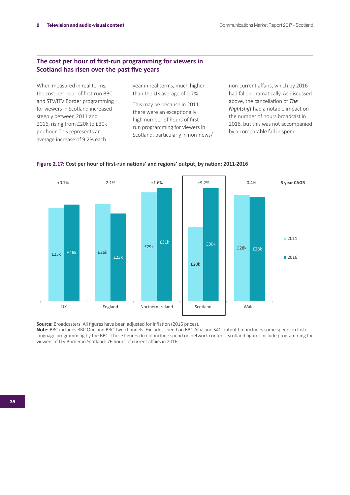## **The cost per hour of first-run programming for viewers in Scotland has risen over the past five years**

When measured in real terms, the cost per hour of first-run BBC and STV/ITV Border programming for viewers in Scotland increased steeply between 2011 and 2016, rising from £20k to £30k per hour. This represents an average increase of 9.2% each

year in real terms, much higher than the UK average of 0.7%.

This may be because in 2011 there were an exceptionally high number of hours of firstrun programming for viewers in Scotland, particularly in non-news/ non-current affairs, which by 2016 had fallen dramatically. As discussed above, the cancellation of *The Nightshift* had a notable impact on the number of hours broadcast in 2016, but this was not accompanied by a comparable fall in spend.



#### **Figure 2.17: Cost per hour of first-run nations' and regions' output, by nation: 2011-2016**

**Source:** Broadcasters. All figures have been adjusted for inflation (2016 prices).

**Note:** BBC includes BBC One and BBC Two channels. Excludes spend on BBC Alba and S4C output but includes some spend on Irishlanguage programming by the BBC. These figures do not include spend on network content. Scotland figures include programming for viewers of ITV Border in Scotland: 76 hours of current affairs in 2016.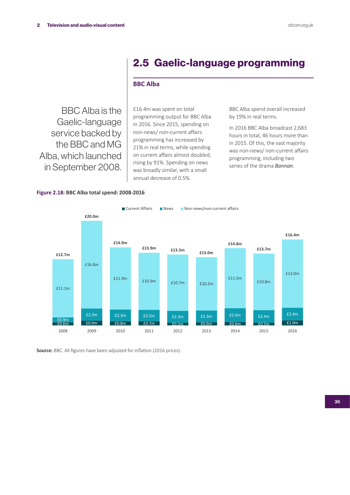## 2.5 Gaelic-language programming

## **BBC Alba**

BBC Alba is the Gaelic-language service backed by the BBC and MG Alba, which launched in September 2008.

£16.4m was spent on total programming output for BBC Alba in 2016. Since 2015, spending on non-news/ non-current affairs programming has increased by 21% in real terms, while spending on current affairs almost doubled, rising by 91%. Spending on news was broadly similar, with a small annual decrease of 0.5%.

BBC Alba spend overall increased by 19% in real terms.

In 2016 BBC Alba broadcast 2,683 hours in total, 46 hours more than in 2015. Of this, the vast majority was non-news/ non-current affairs programming, including two series of the drama *Bannan*.

#### **Figure 2.18: BBC Alba total spend: 2008-2016**



**Source:** BBC. All figures have been adjusted for inflation (2016 prices).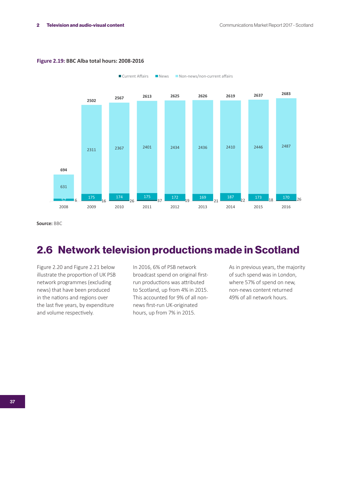

 $\blacksquare$  Current Affairs  $\blacksquare$  News  $\blacksquare$  Non-news/non-current affairs

#### **Figure 2.19: BBC Alba total hours: 2008-2016**

**Source:** BBC

## 2.6 Network television productions made in Scotland

Figure 2.20 and Figure 2.21 below illustrate the proportion of UK PSB network programmes (excluding news) that have been produced in the nations and regions over the last five years, by expenditure and volume respectively.

In 2016, 6% of PSB network broadcast spend on original firstrun productions was attributed to Scotland, up from 4% in 2015. This accounted for 9% of all nonnews first-run UK-originated hours, up from 7% in 2015.

As in previous years, the majority of such spend was in London, where 57% of spend on new, non-news content returned 49% of all network hours.